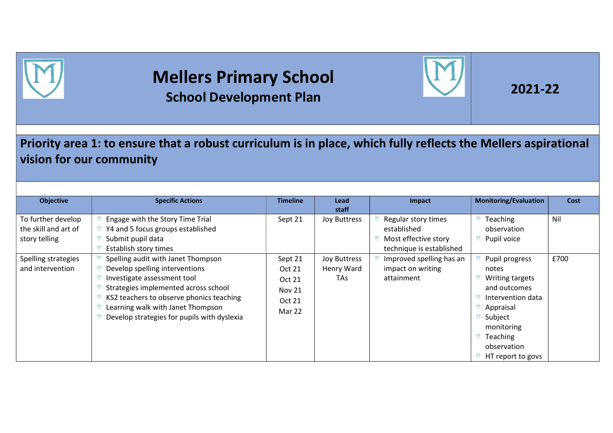

## Mellers Primary School School Development Plan



## Priority area 1: to ensure that a robust curriculum is in place, which fully reflects the Mellers aspirational vision for our community

| <b>Objective</b>                                            | <b>Specific Actions</b>                                                                                                                                                                                                                                                     | <b>Timeline</b>                                                  | <b>Lead</b><br>staff              | Impact                                                                                 | <b>Monitoring/Evaluation</b>                                                                                                                                          | Cost |
|-------------------------------------------------------------|-----------------------------------------------------------------------------------------------------------------------------------------------------------------------------------------------------------------------------------------------------------------------------|------------------------------------------------------------------|-----------------------------------|----------------------------------------------------------------------------------------|-----------------------------------------------------------------------------------------------------------------------------------------------------------------------|------|
| To further develop<br>the skill and art of<br>story telling | Engage with the Story Time Trial<br>Y4 and 5 focus groups established<br>Submit pupil data<br>Establish story times                                                                                                                                                         | Sept 21                                                          | <b>Joy Buttress</b>               | Regular story times<br>established<br>Most effective story<br>technique is established | Teaching<br>observation<br>Pupil voice                                                                                                                                | Nil  |
| Spelling strategies<br>and intervention                     | Spelling audit with Janet Thompson<br>Develop spelling interventions<br>Investigate assessment tool<br>Strategies implemented across school<br>KS2 teachers to observe phonics teaching<br>Learning walk with Janet Thompson<br>Develop strategies for pupils with dyslexia | Sept 21<br>Oct 21<br>Oct 21<br><b>Nov 21</b><br>Oct 21<br>Mar 22 | Joy Buttress<br>Henry Ward<br>TAs | Improved spelling has an<br>impact on writing<br>attainment                            | Pupil progress<br>notes<br>Writing targets<br>and outcomes<br>Intervention data<br>Appraisal<br>Subject<br>monitoring<br>Teaching<br>observation<br>HT report to govs | £700 |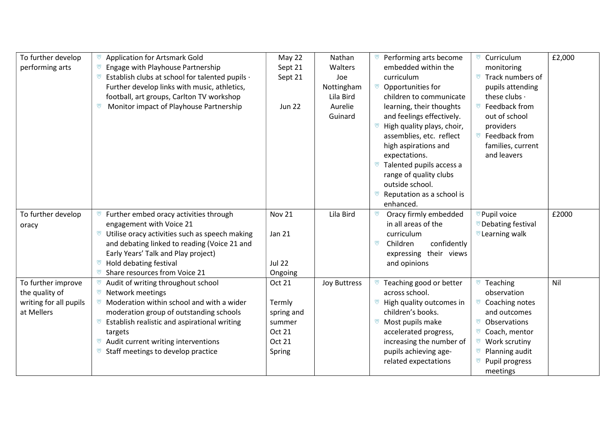| To further develop<br>performing arts                                        | <b>Application for Artsmark Gold</b><br>Engage with Playhouse Partnership<br>v<br>Establish clubs at school for talented pupils ·<br>v<br>Further develop links with music, athletics,<br>football, art groups, Carlton TV workshop<br>Monitor impact of Playhouse Partnership<br>ভ                                | May 22<br>Sept 21<br>Sept 21<br><b>Jun 22</b>                          | Nathan<br>Walters<br>Joe<br>Nottingham<br>Lila Bird<br>Aurelie<br>Guinard | Performing arts become<br>embedded within the<br>curriculum<br>ভ<br>Opportunities for<br>children to communicate<br>learning, their thoughts<br>and feelings effectively.<br>High quality plays, choir,<br>assemblies, etc. reflect<br>high aspirations and<br>expectations.<br>Talented pupils access a<br>range of quality clubs<br>outside school.<br>Reputation as a school is<br>⋓<br>enhanced. | Curriculum<br>ভ<br>monitoring<br>Track numbers of<br>pupils attending<br>these clubs .<br>Feedback from<br>ឃ<br>out of school<br>providers<br>Feedback from<br>ভ<br>families, current<br>and leavers | £2,000 |
|------------------------------------------------------------------------------|--------------------------------------------------------------------------------------------------------------------------------------------------------------------------------------------------------------------------------------------------------------------------------------------------------------------|------------------------------------------------------------------------|---------------------------------------------------------------------------|------------------------------------------------------------------------------------------------------------------------------------------------------------------------------------------------------------------------------------------------------------------------------------------------------------------------------------------------------------------------------------------------------|------------------------------------------------------------------------------------------------------------------------------------------------------------------------------------------------------|--------|
| To further develop<br>oracy                                                  | Further embed oracy activities through<br>⋓<br>engagement with Voice 21<br>Utilise oracy activities such as speech making<br>and debating linked to reading (Voice 21 and<br>Early Years' Talk and Play project)<br>Hold debating festival<br>ভ<br>ভ<br>Share resources from Voice 21                              | <b>Nov 21</b><br><b>Jan 21</b><br><b>Jul 22</b><br>Ongoing             | Lila Bird                                                                 | Oracy firmly embedded<br>U<br>in all areas of the<br>curriculum<br>confidently<br>ឃ<br>Children<br>expressing their views<br>and opinions                                                                                                                                                                                                                                                            | Pupil voice<br><b>Debating festival</b><br><sup>₩</sup> Learning walk                                                                                                                                | £2000  |
| To further improve<br>the quality of<br>writing for all pupils<br>at Mellers | ভ<br>Audit of writing throughout school<br><sup>₩</sup> Network meetings<br>Moderation within school and with a wider<br>ভ<br>moderation group of outstanding schools<br>Establish realistic and aspirational writing<br>targets<br>Audit current writing interventions<br>ভ<br>Staff meetings to develop practice | Oct 21<br>Termly<br>spring and<br>summer<br>Oct 21<br>Oct 21<br>Spring | <b>Joy Buttress</b>                                                       | Teaching good or better<br>across school.<br>High quality outcomes in<br>⋓<br>children's books.<br>Most pupils make<br>ভ<br>accelerated progress,<br>increasing the number of<br>pupils achieving age-<br>related expectations                                                                                                                                                                       | Teaching<br>⋓<br>observation<br>Coaching notes<br>ভ<br>and outcomes<br>Observations<br>ভ<br>Coach, mentor<br>Work scrutiny<br>Planning audit<br>Pupil progress<br>meetings                           | Nil    |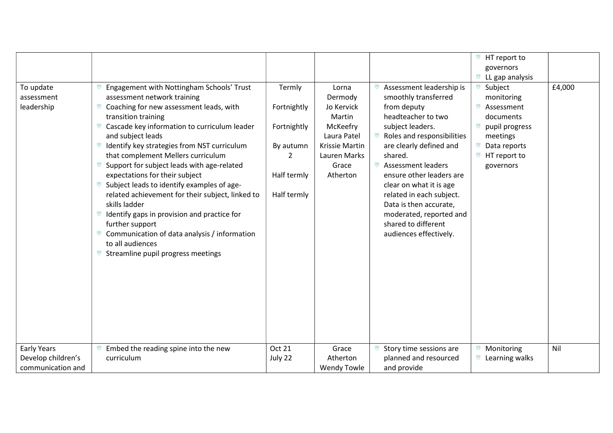|                                       |                                                                                                                                                                                                                                                                                                                                                                                                                                                                                                                                                                                                                                                                                                    |                                                                                      |                                                                                                                            |                                                                                                                                                                                                                                                                                                                                                                                                                       | <sup>₩</sup> HT report to                                                                                                                          |        |
|---------------------------------------|----------------------------------------------------------------------------------------------------------------------------------------------------------------------------------------------------------------------------------------------------------------------------------------------------------------------------------------------------------------------------------------------------------------------------------------------------------------------------------------------------------------------------------------------------------------------------------------------------------------------------------------------------------------------------------------------------|--------------------------------------------------------------------------------------|----------------------------------------------------------------------------------------------------------------------------|-----------------------------------------------------------------------------------------------------------------------------------------------------------------------------------------------------------------------------------------------------------------------------------------------------------------------------------------------------------------------------------------------------------------------|----------------------------------------------------------------------------------------------------------------------------------------------------|--------|
|                                       |                                                                                                                                                                                                                                                                                                                                                                                                                                                                                                                                                                                                                                                                                                    |                                                                                      |                                                                                                                            |                                                                                                                                                                                                                                                                                                                                                                                                                       | governors                                                                                                                                          |        |
|                                       |                                                                                                                                                                                                                                                                                                                                                                                                                                                                                                                                                                                                                                                                                                    |                                                                                      |                                                                                                                            |                                                                                                                                                                                                                                                                                                                                                                                                                       | $\mathbb{R}$ LL gap analysis                                                                                                                       |        |
| To update<br>assessment<br>leadership | Engagement with Nottingham Schools' Trust<br>assessment network training<br>Coaching for new assessment leads, with<br>ভ<br>transition training<br>Cascade key information to curriculum leader<br>and subject leads<br>Identify key strategies from NST curriculum<br>ভ<br>that complement Mellers curriculum<br>Support for subject leads with age-related<br>expectations for their subject<br>Subject leads to identify examples of age-<br>ឃ<br>related achievement for their subject, linked to<br>skills ladder<br>Identify gaps in provision and practice for<br>further support<br>Communication of data analysis / information<br>to all audiences<br>Streamline pupil progress meetings | Termly<br>Fortnightly<br>Fortnightly<br>By autumn<br>2<br>Half termly<br>Half termly | Lorna<br>Dermody<br>Jo Kervick<br>Martin<br>McKeefry<br>Laura Patel<br>Krissie Martin<br>Lauren Marks<br>Grace<br>Atherton | Assessment leadership is<br>smoothly transferred<br>from deputy<br>headteacher to two<br>subject leaders.<br><sup>₩</sup> Roles and responsibilities<br>are clearly defined and<br>shared.<br>ভ<br><b>Assessment leaders</b><br>ensure other leaders are<br>clear on what it is age<br>related in each subject.<br>Data is then accurate,<br>moderated, reported and<br>shared to different<br>audiences effectively. | Subject<br>monitoring<br>ভ<br>Assessment<br>documents<br>ভ<br>pupil progress<br>meetings<br><sup>₩</sup> Data reports<br>HT report to<br>governors | £4,000 |
| Early Years                           | Embed the reading spine into the new<br>ভ                                                                                                                                                                                                                                                                                                                                                                                                                                                                                                                                                                                                                                                          | Oct 21                                                                               | Grace                                                                                                                      | Story time sessions are                                                                                                                                                                                                                                                                                                                                                                                               | Monitoring                                                                                                                                         | Nil    |
| Develop children's                    | curriculum                                                                                                                                                                                                                                                                                                                                                                                                                                                                                                                                                                                                                                                                                         | July 22                                                                              | Atherton                                                                                                                   | planned and resourced                                                                                                                                                                                                                                                                                                                                                                                                 | $\mathbb{F}$ Learning walks                                                                                                                        |        |
| communication and                     |                                                                                                                                                                                                                                                                                                                                                                                                                                                                                                                                                                                                                                                                                                    |                                                                                      | <b>Wendy Towle</b>                                                                                                         | and provide                                                                                                                                                                                                                                                                                                                                                                                                           |                                                                                                                                                    |        |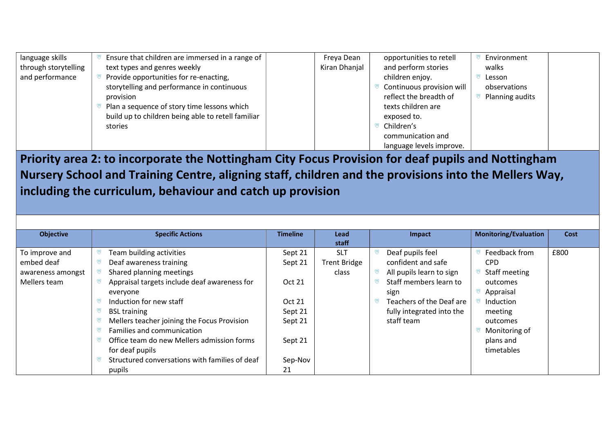| language skills      | Ensure that children are immersed in a range of    | Freya Dean    | opportunities to retell   | Environment     |
|----------------------|----------------------------------------------------|---------------|---------------------------|-----------------|
| through storytelling | text types and genres weekly                       | Kiran Dhanjal | and perform stories       | walks           |
| and performance      | Provide opportunities for re-enacting,             |               | children enjoy.           | Lesson          |
|                      | storytelling and performance in continuous         |               | Continuous provision will | observations    |
|                      | provision                                          |               | reflect the breadth of    | Planning audits |
|                      | Plan a sequence of story time lessons which        |               | texts children are        |                 |
|                      | build up to children being able to retell familiar |               | exposed to.               |                 |
|                      | stories                                            |               | Children's                |                 |
|                      |                                                    |               | communication and         |                 |
|                      |                                                    |               | language levels improve.  |                 |

Priority area 2: to incorporate the Nottingham City Focus Provision for deaf pupils and Nottingham Nursery School and Training Centre, aligning staff, children and the provisions into the Mellers Way, including the curriculum, behaviour and catch up provision

| <b>Objective</b>  |   | <b>Specific Actions</b>                        | <b>Timeline</b> | Lead                | Impact                    | <b>Monitoring/Evaluation</b> | Cost |
|-------------------|---|------------------------------------------------|-----------------|---------------------|---------------------------|------------------------------|------|
|                   |   |                                                |                 | staff               |                           |                              |      |
| To improve and    | ভ | Team building activities                       | Sept 21         | <b>SLT</b>          | Deaf pupils feel          | Feedback from                | £800 |
| embed deaf        |   | Deaf awareness training                        | Sept 21         | <b>Trent Bridge</b> | confident and safe        | <b>CPD</b>                   |      |
| awareness amongst |   | Shared planning meetings                       |                 | class               | All pupils learn to sign  | Staff meeting                |      |
| Mellers team      |   | Appraisal targets include deaf awareness for   | Oct 21          |                     | Staff members learn to    | outcomes                     |      |
|                   |   | everyone                                       |                 |                     | sign                      | Appraisal                    |      |
|                   |   | Induction for new staff                        | Oct 21          |                     | Teachers of the Deaf are  | Induction                    |      |
|                   |   | <b>BSL training</b>                            | Sept 21         |                     | fully integrated into the | meeting                      |      |
|                   |   | Mellers teacher joining the Focus Provision    | Sept 21         |                     | staff team                | outcomes                     |      |
|                   |   | Families and communication                     |                 |                     |                           | Monitoring of                |      |
|                   |   | Office team do new Mellers admission forms     | Sept 21         |                     |                           | plans and                    |      |
|                   |   | for deaf pupils                                |                 |                     |                           | timetables                   |      |
|                   |   | Structured conversations with families of deaf | Sep-Nov         |                     |                           |                              |      |
|                   |   | pupils                                         | 21              |                     |                           |                              |      |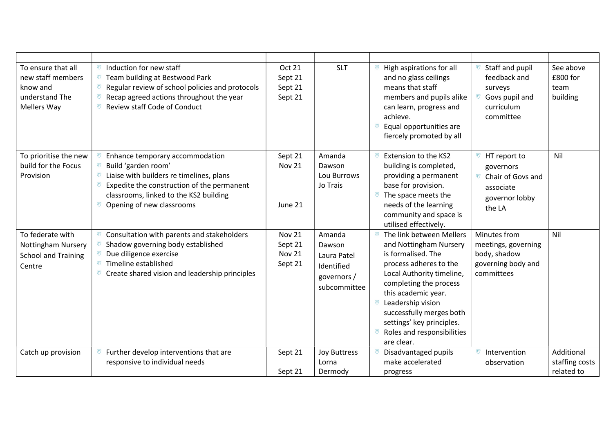| To ensure that all<br>new staff members<br>know and<br>understand The<br>Mellers Way  | Induction for new staff<br>Team building at Bestwood Park<br>ভ<br>Regular review of school policies and protocols<br>ভ<br>Recap agreed actions throughout the year<br>ர<br><b>Review staff Code of Conduct</b><br>ভ                    | <b>Oct 21</b><br>Sept 21<br>Sept 21<br>Sept 21       | <b>SLT</b>                                                                   | High aspirations for all<br>and no glass ceilings<br>means that staff<br>members and pupils alike<br>can learn, progress and<br>achieve.<br><sup>7</sup> Equal opportunities are<br>fiercely promoted by all                                                                                                                    | Staff and pupil<br>feedback and<br>surveys<br>Govs pupil and<br>curriculum<br>committee                            | See above<br>£800 for<br>team<br>building  |
|---------------------------------------------------------------------------------------|----------------------------------------------------------------------------------------------------------------------------------------------------------------------------------------------------------------------------------------|------------------------------------------------------|------------------------------------------------------------------------------|---------------------------------------------------------------------------------------------------------------------------------------------------------------------------------------------------------------------------------------------------------------------------------------------------------------------------------|--------------------------------------------------------------------------------------------------------------------|--------------------------------------------|
| To prioritise the new<br>build for the Focus<br>Provision                             | Enhance temporary accommodation<br>Ø<br>Build 'garden room'<br>Liaise with builders re timelines, plans<br>ভ<br>Expedite the construction of the permanent<br>ভ<br>classrooms, linked to the KS2 building<br>Opening of new classrooms | Sept 21<br><b>Nov 21</b><br>June 21                  | Amanda<br>Dawson<br>Lou Burrows<br>Jo Trais                                  | Extension to the KS2<br>⋓<br>building is completed,<br>providing a permanent<br>base for provision.<br>$\mathbb{R}$ The space meets the<br>needs of the learning<br>community and space is<br>utilised effectively.                                                                                                             | <sup>₩</sup> HT report to<br>governors<br><sup>77</sup> Chair of Govs and<br>associate<br>governor lobby<br>the LA | Nil                                        |
| To federate with<br><b>Nottingham Nursery</b><br><b>School and Training</b><br>Centre | Consultation with parents and stakeholders<br>ভ<br>Shadow governing body established<br>Due diligence exercise<br>Timeline established<br>ভ<br>ប Create shared vision and leadership principles                                        | <b>Nov 21</b><br>Sept 21<br><b>Nov 21</b><br>Sept 21 | Amanda<br>Dawson<br>Laura Patel<br>Identified<br>governors /<br>subcommittee | The link between Mellers<br>ভ<br>and Nottingham Nursery<br>is formalised. The<br>process adheres to the<br>Local Authority timeline,<br>completing the process<br>this academic year.<br><b><i>v</i></b> Leadership vision<br>successfully merges both<br>settings' key principles.<br>Roles and responsibilities<br>are clear. | Minutes from<br>meetings, governing<br>body, shadow<br>governing body and<br>committees                            | Nil                                        |
| Catch up provision                                                                    | Further develop interventions that are<br>⋓<br>responsive to individual needs                                                                                                                                                          | Sept 21<br>Sept 21                                   | <b>Joy Buttress</b><br>Lorna<br>Dermody                                      | Disadvantaged pupils<br>make accelerated<br>progress                                                                                                                                                                                                                                                                            | Intervention<br>ভ<br>observation                                                                                   | Additional<br>staffing costs<br>related to |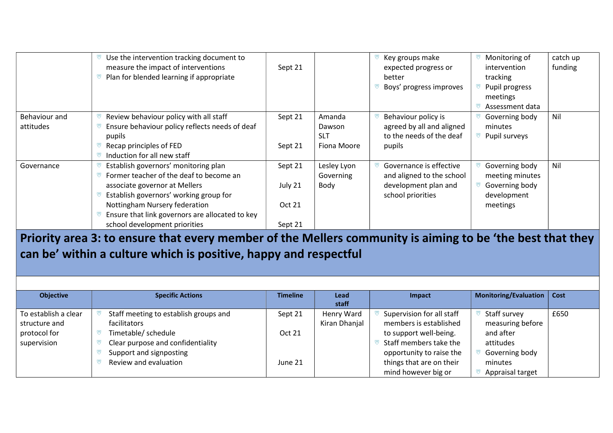|                            | Use the intervention tracking document to<br>measure the impact of interventions<br>Plan for blended learning if appropriate                                                                                                                                                    | Sept 21                                 |                                               | Key groups make<br>expected progress or<br>better<br>Boys' progress improves                      | Monitoring of<br>intervention<br>tracking<br>Pupil progress<br>meetings<br>Assessment data | catch up<br>funding |
|----------------------------|---------------------------------------------------------------------------------------------------------------------------------------------------------------------------------------------------------------------------------------------------------------------------------|-----------------------------------------|-----------------------------------------------|---------------------------------------------------------------------------------------------------|--------------------------------------------------------------------------------------------|---------------------|
| Behaviour and<br>attitudes | Review behaviour policy with all staff<br>Ensure behaviour policy reflects needs of deaf<br>pupils<br>Recap principles of FED<br>Induction for all new staff                                                                                                                    | Sept 21<br>Sept 21                      | Amanda<br>Dawson<br><b>SLT</b><br>Fiona Moore | Behaviour policy is<br>agreed by all and aligned<br>to the needs of the deaf<br>pupils            | Governing body<br>minutes<br>Pupil surveys                                                 | Nil                 |
| Governance                 | Establish governors' monitoring plan<br>Former teacher of the deaf to become an<br>associate governor at Mellers<br>Establish governors' working group for<br>Nottingham Nursery federation<br>Ensure that link governors are allocated to key<br>school development priorities | Sept 21<br>July 21<br>Oct 21<br>Sept 21 | Lesley Lyon<br>Governing<br>Body              | Governance is effective<br>and aligned to the school<br>development plan and<br>school priorities | Governing body<br>meeting minutes<br>Governing body<br>development<br>meetings             | Nil                 |

Priority area 3: to ensure that every member of the Mellers community is aiming to be 'the best that they can be' within a culture which is positive, happy and respectful

| <b>Objective</b>     | <b>Specific Actions</b>               | <b>Timeline</b> | Lead<br>staff | Impact                    | Monitoring/Evaluation   Cost |      |
|----------------------|---------------------------------------|-----------------|---------------|---------------------------|------------------------------|------|
| To establish a clear | Staff meeting to establish groups and | Sept 21         | Henry Ward    | Supervision for all staff | Staff survey                 | £650 |
| structure and        | facilitators                          |                 | Kiran Dhanjal | members is established    | measuring before             |      |
| protocol for         | Timetable/ schedule                   | <b>Oct 21</b>   |               | to support well-being.    | and after                    |      |
| supervision          | Clear purpose and confidentiality     |                 |               | Staff members take the    | attitudes                    |      |
|                      | Support and signposting               |                 |               | opportunity to raise the  | Governing body               |      |
|                      | Review and evaluation                 | June 21         |               | things that are on their  | minutes                      |      |
|                      |                                       |                 |               | mind however big or       | Appraisal target             |      |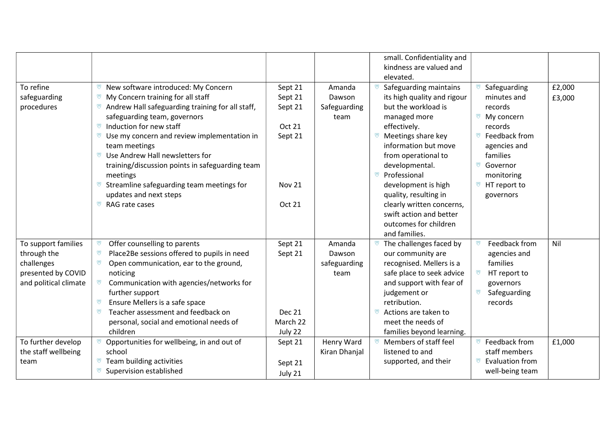|                                                                                                 |                                                                                                                                                                                                                                                                                                                                                                                                                                                                                       |                                                                                      |                                          | small. Confidentiality and<br>kindness are valued and                                                                                                                                                                                                                                                                                                                       |                                                                                                                                                                                                         |                  |
|-------------------------------------------------------------------------------------------------|---------------------------------------------------------------------------------------------------------------------------------------------------------------------------------------------------------------------------------------------------------------------------------------------------------------------------------------------------------------------------------------------------------------------------------------------------------------------------------------|--------------------------------------------------------------------------------------|------------------------------------------|-----------------------------------------------------------------------------------------------------------------------------------------------------------------------------------------------------------------------------------------------------------------------------------------------------------------------------------------------------------------------------|---------------------------------------------------------------------------------------------------------------------------------------------------------------------------------------------------------|------------------|
| To refine<br>safeguarding<br>procedures                                                         | New software introduced: My Concern<br>ভ<br>My Concern training for all staff<br>ভ<br>Andrew Hall safeguarding training for all staff,<br>safeguarding team, governors<br>Induction for new staff<br>ভ<br>ভ<br>Use my concern and review implementation in<br>team meetings<br>Use Andrew Hall newsletters for<br>ভ<br>training/discussion points in safeguarding team<br>meetings<br>Streamline safeguarding team meetings for<br>ভ<br>updates and next steps<br>ভ<br>RAG rate cases | Sept 21<br>Sept 21<br>Sept 21<br>Oct 21<br>Sept 21<br><b>Nov 21</b><br><b>Oct 21</b> | Amanda<br>Dawson<br>Safeguarding<br>team | elevated.<br>Safeguarding maintains<br>its high quality and rigour<br>but the workload is<br>managed more<br>effectively.<br>Meetings share key<br>ভ<br>information but move<br>from operational to<br>developmental.<br>Professional<br>U<br>development is high<br>quality, resulting in<br>clearly written concerns,<br>swift action and better<br>outcomes for children | Safeguarding<br>minutes and<br>records<br><sup>™</sup> My concern<br>records<br>Feedback from<br>ভ<br>agencies and<br>families<br>ভ<br>Governor<br>monitoring<br><sup>₩</sup> HT report to<br>governors | £2,000<br>£3,000 |
| To support families<br>through the<br>challenges<br>presented by COVID<br>and political climate | Offer counselling to parents<br>ভ<br>Place2Be sessions offered to pupils in need<br>ভ<br>ভ<br>Open communication, ear to the ground,<br>noticing<br>Communication with agencies/networks for<br>further support<br>Ensure Mellers is a safe space<br>ভ<br>Teacher assessment and feedback on<br>ভ<br>personal, social and emotional needs of<br>children                                                                                                                              | Sept 21<br>Sept 21<br><b>Dec 21</b><br>March 22<br>July 22                           | Amanda<br>Dawson<br>safeguarding<br>team | and families.<br>The challenges faced by<br>our community are<br>recognised. Mellers is a<br>safe place to seek advice<br>and support with fear of<br>judgement or<br>retribution.<br>Actions are taken to<br>meet the needs of<br>families beyond learning.                                                                                                                | Feedback from<br>agencies and<br>families<br>HT report to<br>governors<br>Safeguarding<br>records                                                                                                       | Nil              |
| To further develop<br>the staff wellbeing<br>team                                               | Opportunities for wellbeing, in and out of<br>school<br>Team building activities<br>ভ<br>Supervision established                                                                                                                                                                                                                                                                                                                                                                      | Sept 21<br>Sept 21<br>July 21                                                        | Henry Ward<br>Kiran Dhanjal              | Members of staff feel<br>listened to and<br>supported, and their                                                                                                                                                                                                                                                                                                            | Feedback from<br>staff members<br><sup>™</sup> Evaluation from<br>well-being team                                                                                                                       | £1,000           |